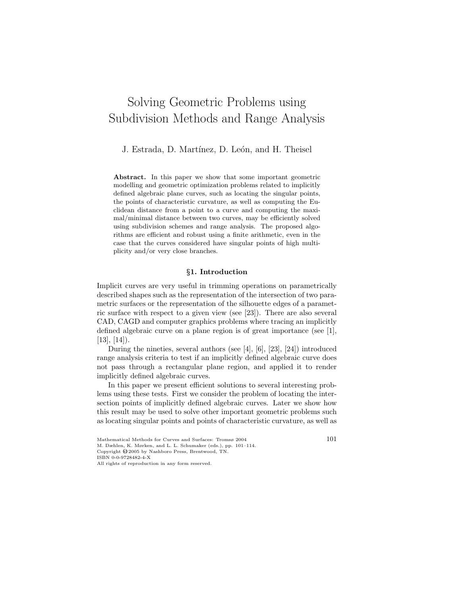# Solving Geometric Problems using Subdivision Methods and Range Analysis

J. Estrada, D. Martínez, D. León, and H. Theisel

Abstract. In this paper we show that some important geometric modelling and geometric optimization problems related to implicitly defined algebraic plane curves, such as locating the singular points, the points of characteristic curvature, as well as computing the Euclidean distance from a point to a curve and computing the maximal/minimal distance between two curves, may be efficiently solved using subdivision schemes and range analysis. The proposed algorithms are efficient and robust using a finite arithmetic, even in the case that the curves considered have singular points of high multiplicity and/or very close branches.

# §1. Introduction

Implicit curves are very useful in trimming operations on parametrically described shapes such as the representation of the intersection of two parametric surfaces or the representation of the silhouette edges of a parametric surface with respect to a given view (see [23]). There are also several CAD, CAGD and computer graphics problems where tracing an implicitly defined algebraic curve on a plane region is of great importance (see [1],  $[13]$ ,  $[14]$ ).

During the nineties, several authors (see [4], [6], [23], [24]) introduced range analysis criteria to test if an implicitly defined algebraic curve does not pass through a rectangular plane region, and applied it to render implicitly defined algebraic curves.

In this paper we present efficient solutions to several interesting problems using these tests. First we consider the problem of locating the intersection points of implicitly defined algebraic curves. Later we show how this result may be used to solve other important geometric problems such as locating singular points and points of characteristic curvature, as well as

Mathematical Methods for Curves and Surfaces: Tromsø 2004  $101$ M. Dæhlen, K. Mørken, and L. L. Schumaker (eds.), pp. 101–114.

Copyright  $\hat{\mathbb{Q}}$  2005 by Nashboro Press, Brentwood, TN.

ISBN 0-0-9728482-4-X

All rights of reproduction in any form reserved.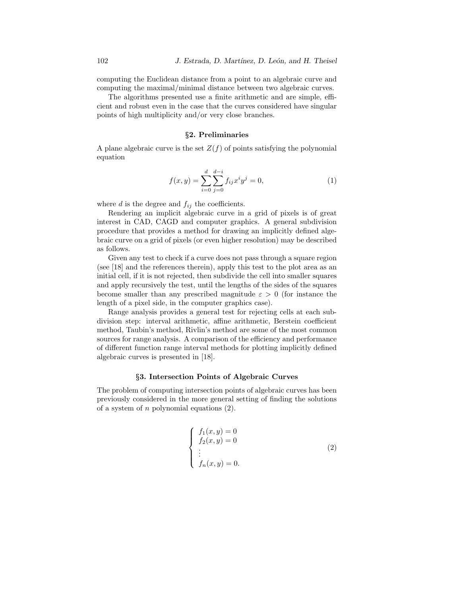computing the Euclidean distance from a point to an algebraic curve and computing the maximal/minimal distance between two algebraic curves.

The algorithms presented use a finite arithmetic and are simple, efficient and robust even in the case that the curves considered have singular points of high multiplicity and/or very close branches.

# §2. Preliminaries

A plane algebraic curve is the set  $Z(f)$  of points satisfying the polynomial equation

$$
f(x,y) = \sum_{i=0}^{d} \sum_{j=0}^{d-i} f_{ij} x^{i} y^{j} = 0,
$$
\n(1)

where  $d$  is the degree and  $f_{ij}$  the coefficients.

Rendering an implicit algebraic curve in a grid of pixels is of great interest in CAD, CAGD and computer graphics. A general subdivision procedure that provides a method for drawing an implicitly defined algebraic curve on a grid of pixels (or even higher resolution) may be described as follows.

Given any test to check if a curve does not pass through a square region (see [18] and the references therein), apply this test to the plot area as an initial cell, if it is not rejected, then subdivide the cell into smaller squares and apply recursively the test, until the lengths of the sides of the squares become smaller than any prescribed magnitude  $\varepsilon > 0$  (for instance the length of a pixel side, in the computer graphics case).

Range analysis provides a general test for rejecting cells at each subdivision step: interval arithmetic, affine arithmetic, Berstein coefficient method, Taubin's method, Rivlin's method are some of the most common sources for range analysis. A comparison of the efficiency and performance of different function range interval methods for plotting implicitly defined algebraic curves is presented in [18].

# §3. Intersection Points of Algebraic Curves

The problem of computing intersection points of algebraic curves has been previously considered in the more general setting of finding the solutions of a system of  $n$  polynomial equations  $(2)$ .

$$
\begin{cases}\nf_1(x,y) = 0 \\
f_2(x,y) = 0 \\
\vdots \\
f_n(x,y) = 0.\n\end{cases}
$$
\n(2)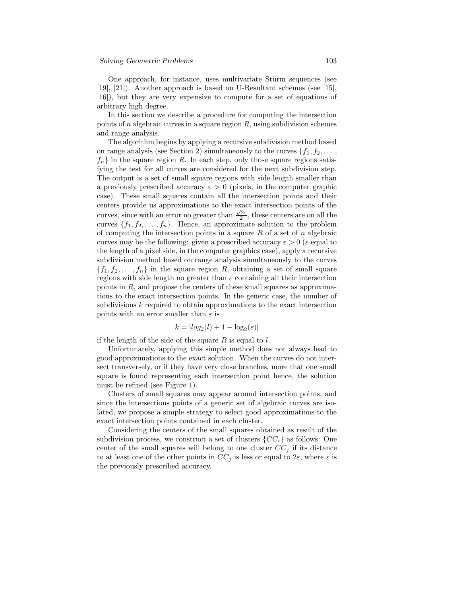One approach, for instance, uses multivariate Stürm sequences (see [19], [21]). Another approach is based on U-Resultant schemes (see [15], [16]), but they are very expensive to compute for a set of equations of arbitrary high degree.

In this section we describe a procedure for computing the intersection points of  $n$  algebraic curves in a square region  $R$ , using subdivision schemes and range analysis.

The algorithm begins by applying a recursive subdivision method based on range analysis (see Section 2) simultaneously to the curves  $\{f_1, f_2, \ldots, f_n\}$  $f_n$  in the square region R. In each step, only those square regions satisfying the test for all curves are considered for the next subdivision step. The output is a set of small square regions with side length smaller than a previously prescribed accuracy  $\varepsilon > 0$  (pixels, in the computer graphic case). These small squares contain all the intersection points and their centers provide us approximations to the exact intersection points of the curves, since with an error no greater than  $\frac{\sqrt{2}\varepsilon}{2}$ , these centers are on all the curves  $\{f_1, f_2, \ldots, f_n\}$ . Hence, an approximate solution to the problem of computing the intersection points in a square  $R$  of a set of  $n$  algebraic curves may be the following: given a prescribed accuracy  $\varepsilon > 0$  ( $\varepsilon$  equal to the length of a pixel side, in the computer graphics case), apply a recursive subdivision method based on range analysis simultaneously to the curves  ${f_1, f_2, \ldots, f_n}$  in the square region R, obtaining a set of small square regions with side length no greater than  $\varepsilon$  containing all their intersection points in  $R$ , and propose the centers of these small squares as approximations to the exact intersection points. In the generic case, the number of subdivisions  $k$  required to obtain approximations to the exact intersection points with an error smaller than  $\varepsilon$  is

$$
k = [log_2(l) + 1 - log_2(\varepsilon)]
$$

if the length of the side of the square  $R$  is equal to  $l$ .

Unfortunately, applying this simple method does not always lead to good approximations to the exact solution. When the curves do not intersect transversely, or if they have very close branches, more that one small square is found representing each intersection point hence, the solution must be refined (see Figure 1).

Clusters of small squares may appear around intersection points, and since the intersections points of a generic set of algebraic curves are isolated, we propose a simple strategy to select good approximations to the exact intersection points contained in each cluster.

Considering the centers of the small squares obtained as result of the subdivision process, we construct a set of clusters  $\{CC_i\}$  as follows: One center of the small squares will belong to one cluster  $CC<sub>j</sub>$  if its distance to at least one of the other points in  $CC_j$  is less or equal to  $2\varepsilon$ , where  $\varepsilon$  is the previously prescribed accuracy.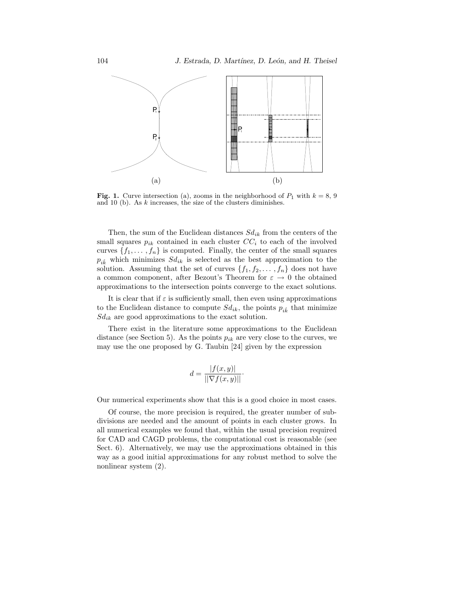

Fig. 1. Curve intersection (a), zooms in the neighborhood of  $P_1$  with  $k = 8, 9$ and 10 (b). As k increases, the size of the clusters diminishes.

Then, the sum of the Euclidean distances  $Sd_{ik}$  from the centers of the small squares  $p_{ik}$  contained in each cluster  $CC_i$  to each of the involved curves  $\{f_1, \ldots, f_n\}$  is computed. Finally, the center of the small squares  $p_{i\hat{k}}$  which minimizes  $Sd_{ik}$  is selected as the best approximation to the solution. Assuming that the set of curves  $\{f_1, f_2, \ldots, f_n\}$  does not have a common component, after Bezout's Theorem for  $\varepsilon \to 0$  the obtained approximations to the intersection points converge to the exact solutions.

It is clear that if  $\varepsilon$  is sufficiently small, then even using approximations to the Euclidean distance to compute  $Sd_{ik}$ , the points  $p_{ik}$  that minimize  $Sd_{ik}$  are good approximations to the exact solution.

There exist in the literature some approximations to the Euclidean distance (see Section 5). As the points  $p_{ik}$  are very close to the curves, we may use the one proposed by G. Taubin [24] given by the expression

$$
d = \frac{|f(x, y)|}{\|\nabla f(x, y)\|}.
$$

Our numerical experiments show that this is a good choice in most cases.

Of course, the more precision is required, the greater number of subdivisions are needed and the amount of points in each cluster grows. In all numerical examples we found that, within the usual precision required for CAD and CAGD problems, the computational cost is reasonable (see Sect. 6). Alternatively, we may use the approximations obtained in this way as a good initial approximations for any robust method to solve the nonlinear system (2).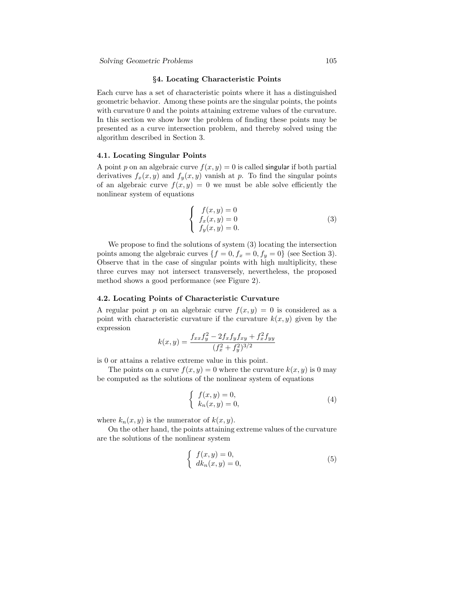### §4. Locating Characteristic Points

Each curve has a set of characteristic points where it has a distinguished geometric behavior. Among these points are the singular points, the points with curvature 0 and the points attaining extreme values of the curvature. In this section we show how the problem of finding these points may be presented as a curve intersection problem, and thereby solved using the algorithm described in Section 3.

# 4.1. Locating Singular Points

A point p on an algebraic curve  $f(x, y) = 0$  is called singular if both partial derivatives  $f_x(x, y)$  and  $f_y(x, y)$  vanish at p. To find the singular points of an algebraic curve  $f(x, y) = 0$  we must be able solve efficiently the nonlinear system of equations

$$
\begin{cases}\nf(x,y) = 0 \\
f_x(x,y) = 0 \\
f_y(x,y) = 0.\n\end{cases}
$$
\n(3)

We propose to find the solutions of system (3) locating the intersection points among the algebraic curves  $\{f = 0, f_x = 0, f_y = 0\}$  (see Section 3). Observe that in the case of singular points with high multiplicity, these three curves may not intersect transversely, nevertheless, the proposed method shows a good performance (see Figure 2).

# 4.2. Locating Points of Characteristic Curvature

A regular point p on an algebraic curve  $f(x, y) = 0$  is considered as a point with characteristic curvature if the curvature  $k(x, y)$  given by the expression

$$
k(x,y) = \frac{f_{xx}f_y^2 - 2f_x f_y f_{xy} + f_x^2 f_{yy}}{(f_x^2 + f_y^2)^{3/2}}
$$

is 0 or attains a relative extreme value in this point.

The points on a curve  $f(x, y) = 0$  where the curvature  $k(x, y)$  is 0 may be computed as the solutions of the nonlinear system of equations

$$
\begin{cases}\nf(x,y) = 0, \\
k_n(x,y) = 0,\n\end{cases}
$$
\n(4)

where  $k_n(x, y)$  is the numerator of  $k(x, y)$ .

On the other hand, the points attaining extreme values of the curvature are the solutions of the nonlinear system

$$
\begin{cases}\nf(x,y) = 0, \\
dk_n(x,y) = 0,\n\end{cases}
$$
\n(5)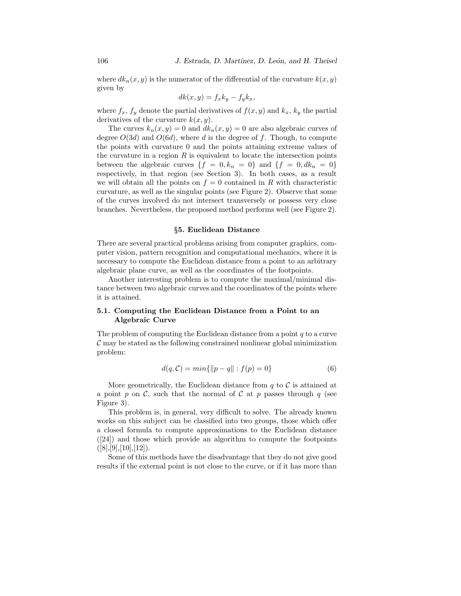where  $dk_n(x, y)$  is the numerator of the differential of the curvature  $k(x, y)$ given by

$$
dk(x, y) = f_x k_y - f_y k_x,
$$

where  $f_x$ ,  $f_y$  denote the partial derivatives of  $f(x, y)$  and  $k_x$ ,  $k_y$  the partial derivatives of the curvature  $k(x, y)$ .

The curves  $k_n(x, y) = 0$  and  $dk_n(x, y) = 0$  are also algebraic curves of degree  $O(3d)$  and  $O(6d)$ , where d is the degree of f. Though, to compute the points with curvature 0 and the points attaining extreme values of the curvature in a region  $R$  is equivalent to locate the intersection points between the algebraic curves  $\{f = 0, k_n = 0\}$  and  $\{f = 0, dk_n = 0\}$ respectively, in that region (see Section 3). In both cases, as a result we will obtain all the points on  $f = 0$  contained in R with characteristic curvature, as well as the singular points (see Figure 2). Observe that some of the curves involved do not intersect transversely or possess very close branches. Nevertheless, the proposed method performs well (see Figure 2).

#### §5. Euclidean Distance

There are several practical problems arising from computer graphics, computer vision, pattern recognition and computational mechanics, where it is necessary to compute the Euclidean distance from a point to an arbitrary algebraic plane curve, as well as the coordinates of the footpoints.

Another interesting problem is to compute the maximal/minimal distance between two algebraic curves and the coordinates of the points where it is attained.

# 5.1. Computing the Euclidean Distance from a Point to an Algebraic Curve

The problem of computing the Euclidean distance from a point  $q$  to a curve  $\mathcal C$  may be stated as the following constrained nonlinear global minimization problem:

$$
d(q, C) = min\{||p - q|| : f(p) = 0\}
$$
 (6)

More geometrically, the Euclidean distance from  $q$  to  $\mathcal C$  is attained at a point p on C, such that the normal of C at p passes through q (see Figure 3).

This problem is, in general, very difficult to solve. The already known works on this subject can be classified into two groups, those which offer a closed formula to compute approximations to the Euclidean distance ([24]) and those which provide an algorithm to compute the footpoints  $([8],[9],[10],[12]).$ 

Some of this methods have the disadvantage that they do not give good results if the external point is not close to the curve, or if it has more than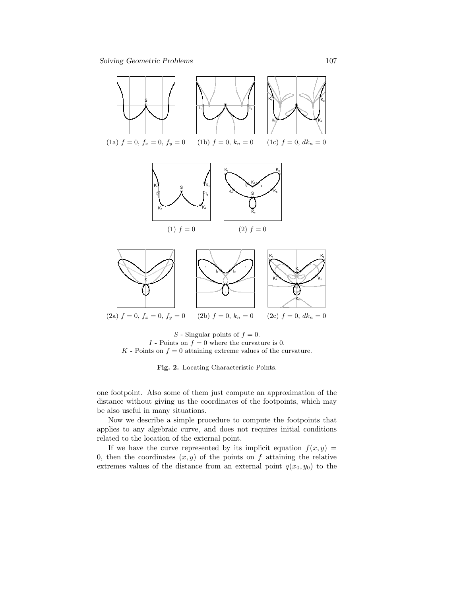

 $S$  - Singular points of  $f = 0$ .  $I$  - Points on  $f=0$  where the curvature is 0.  $K$  - Points on  $f = 0$  attaining extreme values of the curvature.

Fig. 2. Locating Characteristic Points.

one footpoint. Also some of them just compute an approximation of the distance without giving us the coordinates of the footpoints, which may be also useful in many situations.

Now we describe a simple procedure to compute the footpoints that applies to any algebraic curve, and does not requires initial conditions related to the location of the external point.

If we have the curve represented by its implicit equation  $f(x, y) =$ 0, then the coordinates  $(x, y)$  of the points on f attaining the relative extremes values of the distance from an external point  $q(x_0, y_0)$  to the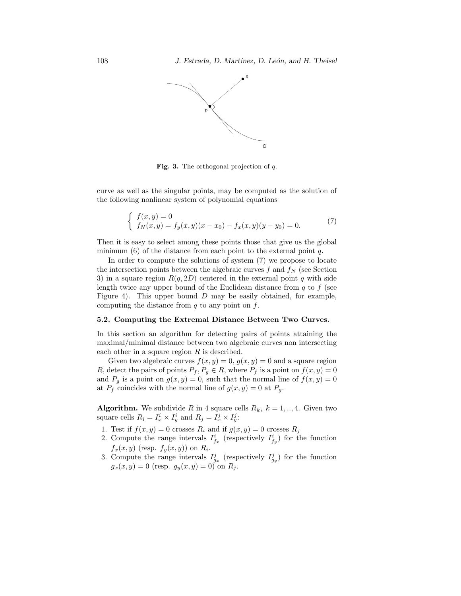

**Fig. 3.** The orthogonal projection of  $q$ .

curve as well as the singular points, may be computed as the solution of the following nonlinear system of polynomial equations

$$
\begin{cases}\nf(x,y) = 0 \\
f_N(x,y) = f_y(x,y)(x-x_0) - f_x(x,y)(y-y_0) = 0.\n\end{cases}
$$
\n(7)

Then it is easy to select among these points those that give us the global minimum  $(6)$  of the distance from each point to the external point q.

In order to compute the solutions of system (7) we propose to locate the intersection points between the algebraic curves  $f$  and  $f_N$  (see Section 3) in a square region  $R(q, 2D)$  centered in the external point q with side length twice any upper bound of the Euclidean distance from  $q$  to  $f$  (see Figure 4). This upper bound  $D$  may be easily obtained, for example, computing the distance from  $q$  to any point on  $f$ .

#### 5.2. Computing the Extremal Distance Between Two Curves.

In this section an algorithm for detecting pairs of points attaining the maximal/minimal distance between two algebraic curves non intersecting each other in a square region  $R$  is described.

Given two algebraic curves  $f(x, y) = 0$ ,  $g(x, y) = 0$  and a square region R, detect the pairs of points  $P_f$ ,  $P_g \in R$ , where  $P_f$  is a point on  $f(x, y) = 0$ and  $P_g$  is a point on  $g(x, y) = 0$ , such that the normal line of  $f(x, y) = 0$ at  $P_f$  coincides with the normal line of  $g(x, y) = 0$  at  $P_g$ .

**Algorithm.** We subdivide R in 4 square cells  $R_k$ ,  $k = 1, \ldots, 4$ . Given two square cells  $R_i = I_x^i \times I_y^i$  and  $R_j = I_x^j \times I_y^j$ :

- 1. Test if  $f(x, y) = 0$  crosses  $R_i$  and if  $g(x, y) = 0$  crosses  $R_j$
- 2. Compute the range intervals  $I_{f_x}^i$  (respectively  $I_{f_y}^i$ ) for the function  $f_x(x, y)$  (resp.  $f_y(x, y)$ ) on  $R_i$ .
- 3. Compute the range intervals  $I_{g_x}^j$  (respectively  $I_{g_y}^j$ ) for the function  $g_x(x, y) = 0$  (resp.  $g_y(x, y) = 0$ ) on  $R_j$ .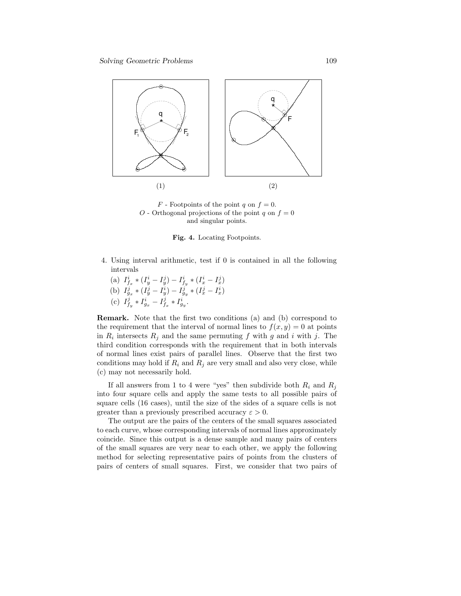

 $F$  - Footpoints of the point q on  $f = 0$ . O - Orthogonal projections of the point q on  $f = 0$ and singular points.

Fig. 4. Locating Footpoints.

- 4. Using interval arithmetic, test if 0 is contained in all the following intervals
	- (a)  $I_{f_x}^i * (I_y^i I_y^j) I_{f_y}^i * (I_x^i I_x^j)$ (b)  $I_{g_x}^j * (I_y^j - I_y^i) - I_{g_y}^j * (I_x^j - I_x^i)$ (c)  $I_{f_y}^j * I_{g_x}^i - I_{f_x}^j * I_{g_y}^i$ .

Remark. Note that the first two conditions (a) and (b) correspond to the requirement that the interval of normal lines to  $f(x, y) = 0$  at points in  $R_i$  intersects  $R_j$  and the same permuting f with g and i with j. The third condition corresponds with the requirement that in both intervals of normal lines exist pairs of parallel lines. Observe that the first two conditions may hold if  $R_i$  and  $R_j$  are very small and also very close, while (c) may not necessarily hold.

If all answers from 1 to 4 were "yes" then subdivide both  $R_i$  and  $R_j$ into four square cells and apply the same tests to all possible pairs of square cells (16 cases), until the size of the sides of a square cells is not greater than a previously prescribed accuracy  $\varepsilon > 0$ .

The output are the pairs of the centers of the small squares associated to each curve, whose corresponding intervals of normal lines approximately coincide. Since this output is a dense sample and many pairs of centers of the small squares are very near to each other, we apply the following method for selecting representative pairs of points from the clusters of pairs of centers of small squares. First, we consider that two pairs of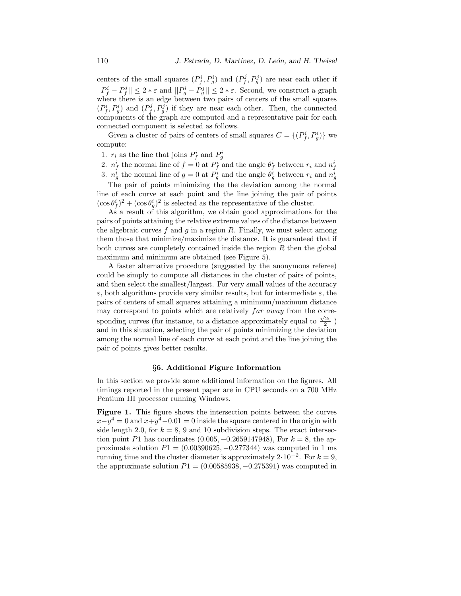centers of the small squares  $(P_f^i, P_g^i)$  and  $(P_f^j, P_g^j)$  are near each other if  $||P_f^i - P_f^j|| \leq 2 * \varepsilon$  and  $||P_g^i - P_g^j|| \leq 2 * \varepsilon$ . Second, we construct a graph where there is an edge between two pairs of centers of the small squares  $(P_f^i, P_g^i)$  and  $(P_f^j, P_g^j)$  if they are near each other. Then, the connected components of the graph are computed and a representative pair for each connected component is selected as follows.

Given a cluster of pairs of centers of small squares  $C = \{ (P_f^i, P_g^i) \}$  we compute:

- 1.  $r_i$  as the line that joins  $P_f^i$  and  $P_g^i$
- 2.  $n_f^i$  the normal line of  $f = 0$  at  $P_f^i$  and the angle  $\theta_f^i$  between  $r_i$  and  $n_f^i$
- 3.  $n_g^i$  the normal line of  $g = 0$  at  $P_g^i$  and the angle  $\theta_g^i$  between  $r_i$  and  $n_g^i$

The pair of points minimizing the the deviation among the normal line of each curve at each point and the line joining the pair of points  $(\cos \theta_j^i)^2 + (\cos \theta_g^i)^2$  is selected as the representative of the cluster.

As a result of this algorithm, we obtain good approximations for the pairs of points attaining the relative extreme values of the distance between the algebraic curves f and q in a region R. Finally, we must select among them those that minimize/maximize the distance. It is guaranteed that if both curves are completely contained inside the region  $R$  then the global maximum and minimum are obtained (see Figure 5).

A faster alternative procedure (suggested by the anonymous referee) could be simply to compute all distances in the cluster of pairs of points, and then select the smallest/largest. For very small values of the accuracy  $\varepsilon$ , both algorithms provide very similar results, but for intermediate  $\varepsilon$ , the pairs of centers of small squares attaining a minimum/maximum distance may correspond to points which are relatively far away from the corresponding curves (for instance, to a distance approximately equal to  $\frac{\sqrt{2}\varepsilon}{2}$ ) and in this situation, selecting the pair of points minimizing the deviation among the normal line of each curve at each point and the line joining the pair of points gives better results.

# §6. Additional Figure Information

In this section we provide some additional information on the figures. All timings reported in the present paper are in CPU seconds on a 700 MHz Pentium III processor running Windows.

Figure 1. This figure shows the intersection points between the curves  $x-y^4=0$  and  $x+y^4-0.01=0$  inside the square centered in the origin with side length 2.0, for  $k = 8$ , 9 and 10 subdivision steps. The exact intersection point P1 has coordinates  $(0.005, -0.2659147948)$ , For  $k = 8$ , the approximate solution  $P1 = (0.00390625, -0.277344)$  was computed in 1 ms running time and the cluster diameter is approximately  $2 \cdot 10^{-2}$ . For  $k = 9$ , the approximate solution  $P1 = (0.00585938, -0.275391)$  was computed in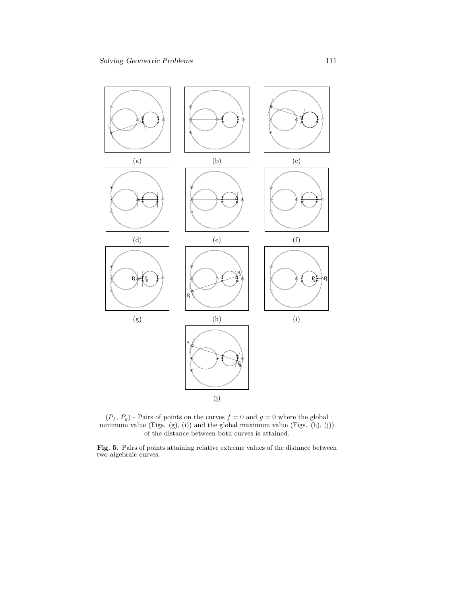

 $(P_f, P_g)$  - Pairs of points on the curves  $f = 0$  and  $g = 0$  where the global minimum value  $(Figs. (g), (i))$  and the global maximum value  $(Figs. (h), (j))$ of the distance between both curves is attained.

Fig. 5. Pairs of points attaining relative extreme values of the distance between two algebraic curves.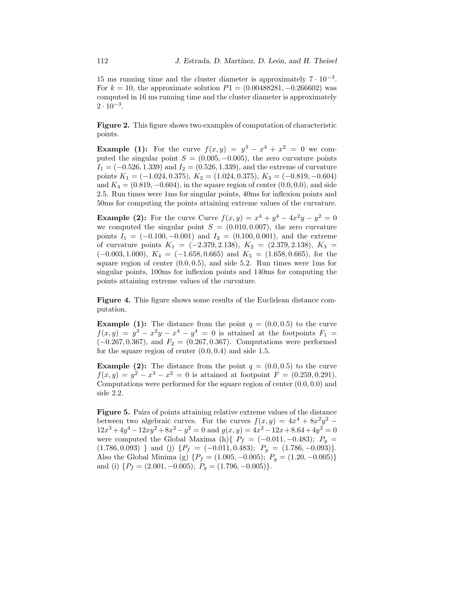15 ms running time and the cluster diameter is approximately  $7 \cdot 10^{-3}$ . For  $k = 10$ , the approximate solution  $P1 = (0.00488281, -0.266602)$  was computed in 16 ms running time and the cluster diameter is approximately  $2 \cdot 10^{-3}$ .

Figure 2. This figure shows two examples of computation of characteristic points.

**Example (1):** For the curve  $f(x,y) = y^3 - x^4 + x^2 = 0$  we computed the singular point  $S = (0.005, -0.005)$ , the zero curvature points  $I_1 = (-0.526, 1.339)$  and  $I_2 = (0.526, 1.339)$ , and the extreme of curvature points  $K_1 = (-1.024, 0.375), K_2 = (1.024, 0.375), K_3 = (-0.819, -0.604)$ and  $K_4 = (0.819, -0.604)$ , in the square region of center  $(0.0, 0.0)$ , and side 2.5. Run times were 1ms for singular points, 40ms for inflexion points and 50ms for computing the points attaining extreme values of the curvature.

**Example (2):** For the curve Curve  $f(x,y) = x^4 + y^4 - 4x^2y - y^2 = 0$ we computed the singular point  $S = (0.010, 0.007)$ , the zero curvature points  $I_1 = (-0.100, -0.001)$  and  $I_2 = (0.100, 0.001)$ , and the extreme of curvature points  $K_1 = (-2.379, 2.138), K_2 = (2.379, 2.138), K_3 =$  $(-0.003, 1.000), K_4 = (-1.658, 0.665)$  and  $K_5 = (1.658, 0.665)$ , for the square region of center  $(0.0, 0.5)$ , and side 5.2. Run times were 1ms for singular points, 100ms for inflexion points and 140ms for computing the points attaining extreme values of the curvature.

Figure 4. This figure shows some results of the Euclidean distance computation.

**Example (1):** The distance from the point  $q = (0.0, 0.5)$  to the curve  $f(x,y) = y^3 - x^2y - x^4 - y^4 = 0$  is attained at the footpoints  $F_1 =$  $(-0.267, 0.367)$ , and  $F_2 = (0.267, 0.367)$ . Computations were performed for the square region of center  $(0.0, 0.4)$  and side 1.5.

**Example (2):** The distance from the point  $q = (0.0, 0.5)$  to the curve  $f(x,y) = y^2 - x^3 - x^2 = 0$  is attained at footpoint  $F = (0.259, 0.291)$ . Computations were performed for the square region of center (0.0, 0.0) and side 2.2.

Figure 5. Pairs of points attaining relative extreme values of the distance between two algebraic curves. For the curves  $f(x,y) = 4x^4 + 8x^2y^2$  $12x^3 + 4y^4 - 12xy^2 + 8x^2 - y^2 = 0$  and  $g(x, y) = 4x^2 - 12x + 8.64 + 4y^2 = 0$ were computed the Global Maxima (h){  $P_f = (-0.011, -0.483); P_g =$  $(1.786, 0.093)$  } and (j)  $\{P_f = (-0.011, 0.483); P_g = (1.786, -0.093)\}.$ Also the Global Minima (g)  $\{P_f = (1.005, -0.005); P_g = (1.20, -0.005)\}\$ and (i)  $\{P_f = (2.001, -0.005); P_g = (1.796, -0.005)\}.$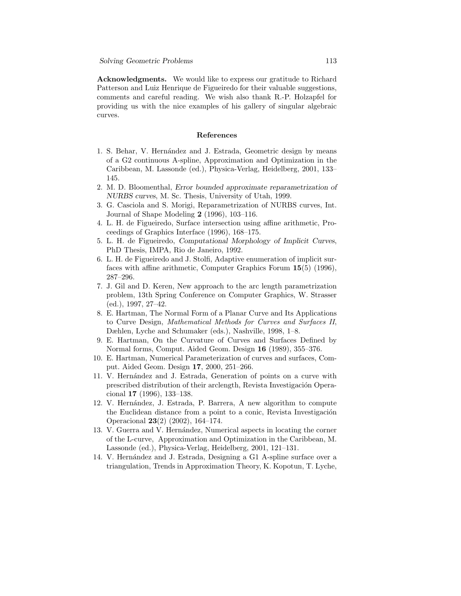Acknowledgments. We would like to express our gratitude to Richard Patterson and Luiz Henrique de Figueiredo for their valuable suggestions, comments and careful reading. We wish also thank R.-P. Holzapfel for providing us with the nice examples of his gallery of singular algebraic curves.

### References

- 1. S. Behar, V. Hernández and J. Estrada, Geometric design by means of a G2 continuous A-spline, Approximation and Optimization in the Caribbean, M. Lassonde (ed.), Physica-Verlag, Heidelberg, 2001, 133– 145.
- 2. M. D. Bloomenthal, Error bounded approximate reparametrization of NURBS curves, M. Sc. Thesis, University of Utah, 1999.
- 3. G. Casciola and S. Morigi, Reparametrization of NURBS curves, Int. Journal of Shape Modeling 2 (1996), 103–116.
- 4. L. H. de Figueiredo, Surface intersection using affine arithmetic, Proceedings of Graphics Interface (1996), 168–175.
- 5. L. H. de Figueiredo, Computational Morphology of Implicit Curves, PhD Thesis, IMPA, Rio de Janeiro, 1992.
- 6. L. H. de Figueiredo and J. Stolfi, Adaptive enumeration of implicit surfaces with affine arithmetic, Computer Graphics Forum 15(5) (1996), 287–296.
- 7. J. Gil and D. Keren, New approach to the arc length parametrization problem, 13th Spring Conference on Computer Graphics, W. Strasser (ed.), 1997, 27–42.
- 8. E. Hartman, The Normal Form of a Planar Curve and Its Applications to Curve Design, Mathematical Methods for Curves and Surfaces II, Dæhlen, Lyche and Schumaker (eds.), Nashville, 1998, 1–8.
- 9. E. Hartman, On the Curvature of Curves and Surfaces Defined by Normal forms, Comput. Aided Geom. Design 16 (1989), 355–376.
- 10. E. Hartman, Numerical Parameterization of curves and surfaces, Comput. Aided Geom. Design 17, 2000, 251–266.
- 11. V. Hernández and J. Estrada, Generation of points on a curve with prescribed distribution of their arclength, Revista Investigación Operacional 17 (1996), 133–138.
- 12. V. Hern´andez, J. Estrada, P. Barrera, A new algorithm to compute the Euclidean distance from a point to a conic, Revista Investigación Operacional 23(2) (2002), 164–174.
- 13. V. Guerra and V. Hernández, Numerical aspects in locating the corner of the L-curve, Approximation and Optimization in the Caribbean, M. Lassonde (ed.), Physica-Verlag, Heidelberg, 2001, 121–131.
- 14. V. Hern´andez and J. Estrada, Designing a G1 A-spline surface over a triangulation, Trends in Approximation Theory, K. Kopotun, T. Lyche,